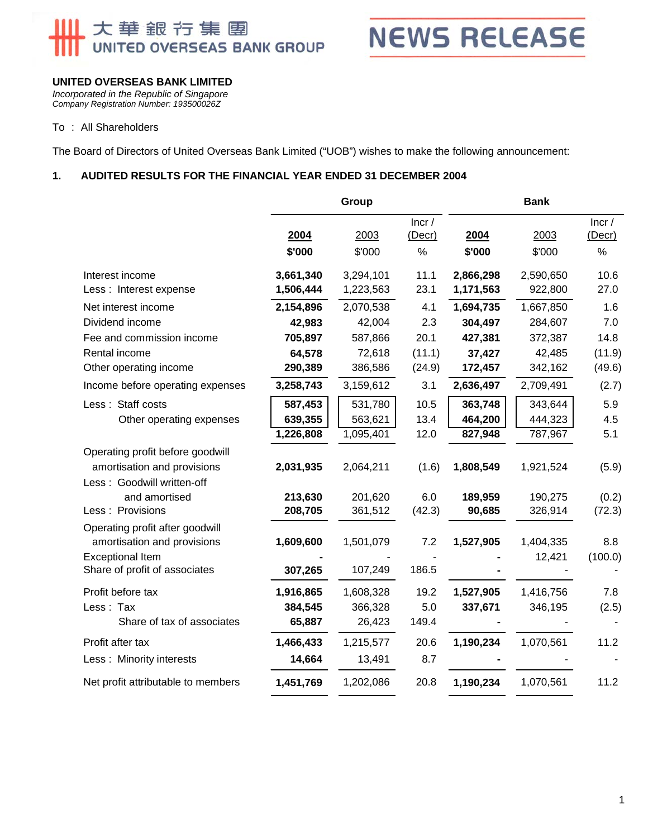# 大華銀行集團<br>UNITED OVERSEAS BANK GROUP



#### **UNITED OVERSEAS BANK LIMITED**

*Incorporated in the Republic of Singapore Company Registration Number: 193500026Z* 

#### To : All Shareholders

The Board of Directors of United Overseas Bank Limited ("UOB") wishes to make the following announcement:

#### **1. AUDITED RESULTS FOR THE FINANCIAL YEAR ENDED 31 DECEMBER 2004**

|                                                                | Group          |                |                         | <b>Bank</b>    |                |                      |  |
|----------------------------------------------------------------|----------------|----------------|-------------------------|----------------|----------------|----------------------|--|
|                                                                | 2004<br>\$'000 | 2003<br>\$'000 | Incr/<br>(Decr)<br>$\%$ | 2004<br>\$'000 | 2003<br>\$'000 | Incr/<br>(Decr)<br>% |  |
| Interest income                                                | 3,661,340      | 3,294,101      | 11.1                    | 2,866,298      | 2,590,650      | 10.6                 |  |
| Less: Interest expense                                         | 1,506,444      | 1,223,563      | 23.1                    | 1,171,563      | 922,800        | 27.0                 |  |
| Net interest income                                            | 2,154,896      | 2,070,538      | 4.1                     | 1,694,735      | 1,667,850      | 1.6                  |  |
| Dividend income                                                | 42,983         | 42,004         | 2.3                     | 304,497        | 284,607        | 7.0                  |  |
| Fee and commission income                                      | 705,897        | 587,866        | 20.1                    | 427,381        | 372,387        | 14.8                 |  |
| Rental income                                                  | 64,578         | 72,618         | (11.1)                  | 37,427         | 42,485         | (11.9)               |  |
| Other operating income                                         | 290,389        | 386,586        | (24.9)                  | 172,457        | 342,162        | (49.6)               |  |
| Income before operating expenses                               | 3,258,743      | 3,159,612      | 3.1                     | 2,636,497      | 2,709,491      | (2.7)                |  |
| Less: Staff costs                                              | 587,453        | 531,780        | 10.5                    | 363,748        | 343,644        | 5.9                  |  |
| Other operating expenses                                       | 639,355        | 563,621        | 13.4                    | 464,200        | 444,323        | 4.5                  |  |
|                                                                | 1,226,808      | 1,095,401      | 12.0                    | 827,948        | 787,967        | 5.1                  |  |
| Operating profit before goodwill                               |                |                |                         |                |                |                      |  |
| amortisation and provisions                                    | 2,031,935      | 2,064,211      | (1.6)                   | 1,808,549      | 1,921,524      | (5.9)                |  |
| Less: Goodwill written-off                                     |                |                |                         |                |                |                      |  |
| and amortised                                                  | 213,630        | 201,620        | 6.0                     | 189,959        | 190,275        | (0.2)                |  |
| Less : Provisions                                              | 208,705        | 361,512        | (42.3)                  | 90,685         | 326,914        | (72.3)               |  |
| Operating profit after goodwill<br>amortisation and provisions | 1,609,600      | 1,501,079      | 7.2                     | 1,527,905      | 1,404,335      | 8.8                  |  |
| <b>Exceptional Item</b>                                        |                |                |                         |                | 12,421         | (100.0)              |  |
| Share of profit of associates                                  | 307,265        | 107,249        | 186.5                   |                |                |                      |  |
| Profit before tax                                              | 1,916,865      | 1,608,328      | 19.2                    | 1,527,905      | 1,416,756      | 7.8                  |  |
| Less: Tax                                                      | 384,545        | 366,328        | 5.0                     | 337,671        | 346,195        | (2.5)                |  |
| Share of tax of associates                                     | 65,887         | 26,423         | 149.4                   |                |                |                      |  |
| Profit after tax                                               | 1,466,433      | 1,215,577      | 20.6                    | 1,190,234      | 1,070,561      | 11.2                 |  |
| Less: Minority interests                                       | 14,664         | 13,491         | 8.7                     |                |                |                      |  |
| Net profit attributable to members                             | 1,451,769      | 1,202,086      | 20.8                    | 1,190,234      | 1,070,561      | 11.2                 |  |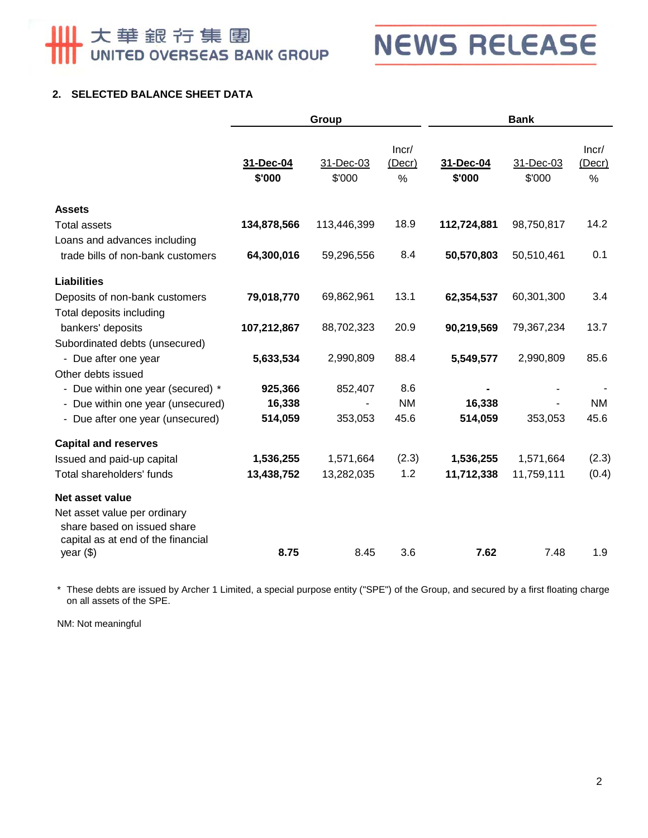# 大華銀行集團

## **NEWS RELEASE**

#### **2. SELECTED BALANCE SHEET DATA**

|                                                                                                   | Group               |                     |                      | <b>Bank</b>         |                     |                         |
|---------------------------------------------------------------------------------------------------|---------------------|---------------------|----------------------|---------------------|---------------------|-------------------------|
|                                                                                                   | 31-Dec-04<br>\$'000 | 31-Dec-03<br>\$'000 | Incr/<br>(Decr)<br>% | 31-Dec-04<br>\$'000 | 31-Dec-03<br>\$'000 | Incr/<br>(Decr)<br>$\%$ |
| <b>Assets</b>                                                                                     |                     |                     |                      |                     |                     |                         |
| <b>Total assets</b>                                                                               | 134,878,566         | 113,446,399         | 18.9                 | 112,724,881         | 98,750,817          | 14.2                    |
| Loans and advances including                                                                      |                     |                     |                      |                     |                     |                         |
| trade bills of non-bank customers                                                                 | 64,300,016          | 59,296,556          | 8.4                  | 50,570,803          | 50,510,461          | 0.1                     |
| <b>Liabilities</b>                                                                                |                     |                     |                      |                     |                     |                         |
| Deposits of non-bank customers                                                                    | 79,018,770          | 69,862,961          | 13.1                 | 62,354,537          | 60,301,300          | 3.4                     |
| Total deposits including                                                                          |                     |                     |                      |                     |                     |                         |
| bankers' deposits                                                                                 | 107,212,867         | 88,702,323          | 20.9                 | 90,219,569          | 79,367,234          | 13.7                    |
| Subordinated debts (unsecured)                                                                    |                     |                     |                      |                     |                     |                         |
| - Due after one year                                                                              | 5,633,534           | 2,990,809           | 88.4                 | 5,549,577           | 2,990,809           | 85.6                    |
| Other debts issued                                                                                |                     |                     |                      |                     |                     |                         |
| - Due within one year (secured) *                                                                 | 925,366             | 852,407             | 8.6                  |                     |                     |                         |
| - Due within one year (unsecured)                                                                 | 16,338              |                     | <b>NM</b>            | 16,338              |                     | <b>NM</b>               |
| - Due after one year (unsecured)                                                                  | 514,059             | 353,053             | 45.6                 | 514,059             | 353,053             | 45.6                    |
| <b>Capital and reserves</b>                                                                       |                     |                     |                      |                     |                     |                         |
| Issued and paid-up capital                                                                        | 1,536,255           | 1,571,664           | (2.3)                | 1,536,255           | 1,571,664           | (2.3)                   |
| Total shareholders' funds                                                                         | 13,438,752          | 13,282,035          | 1.2                  | 11,712,338          | 11,759,111          | (0.4)                   |
| Net asset value                                                                                   |                     |                     |                      |                     |                     |                         |
| Net asset value per ordinary<br>share based on issued share<br>capital as at end of the financial |                     |                     |                      |                     |                     |                         |
| year $(\$)$                                                                                       | 8.75                | 8.45                | 3.6                  | 7.62                | 7.48                | 1.9                     |

\* These debts are issued by Archer 1 Limited, a special purpose entity ("SPE") of the Group, and secured by a first floating charge on all assets of the SPE.

NM: Not meaningful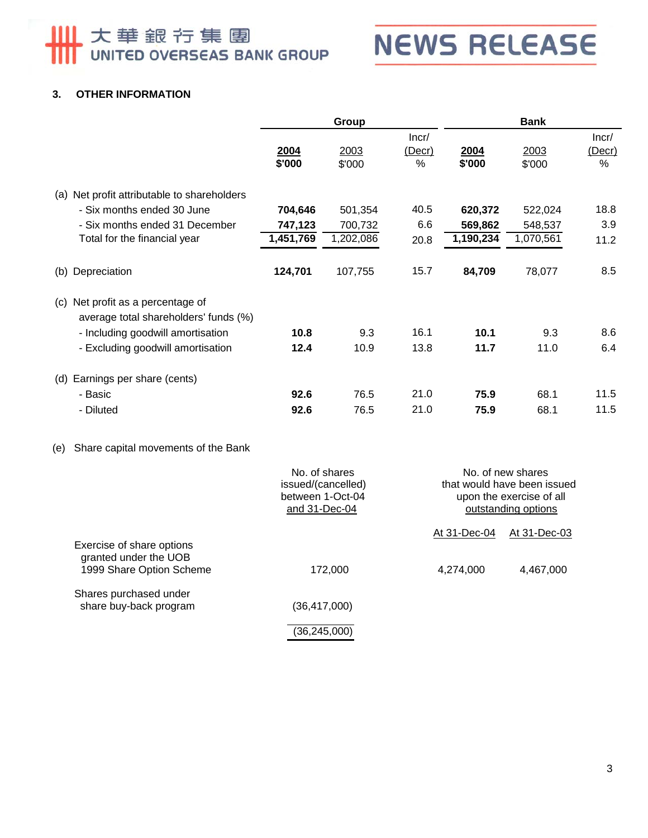## **NEWS RELEASE**

#### **3. OTHER INFORMATION**

|                                                                               | Group          |                |                      | <b>Bank</b>    |                |                      |
|-------------------------------------------------------------------------------|----------------|----------------|----------------------|----------------|----------------|----------------------|
|                                                                               | 2004<br>\$'000 | 2003<br>\$'000 | Incr/<br>(Decr)<br>% | 2004<br>\$'000 | 2003<br>\$'000 | Incr/<br>(Decr)<br>% |
| Net profit attributable to shareholders<br>(a)                                |                |                |                      |                |                |                      |
| - Six months ended 30 June                                                    | 704,646        | 501,354        | 40.5                 | 620,372        | 522,024        | 18.8                 |
| - Six months ended 31 December                                                | 747,123        | 700,732        | 6.6                  | 569,862        | 548,537        | 3.9                  |
| Total for the financial year                                                  | 1,451,769      | 1,202,086      | 20.8                 | 1,190,234      | 1,070,561      | 11.2                 |
| Depreciation<br>(b)                                                           | 124,701        | 107,755        | 15.7                 | 84,709         | 78,077         | 8.5                  |
| Net profit as a percentage of<br>(c)<br>average total shareholders' funds (%) |                |                |                      |                |                |                      |
| - Including goodwill amortisation                                             | 10.8           | 9.3            | 16.1                 | 10.1           | 9.3            | 8.6                  |
| - Excluding goodwill amortisation                                             | 12.4           | 10.9           | 13.8                 | 11.7           | 11.0           | 6.4                  |
| Earnings per share (cents)<br>(d)                                             |                |                |                      |                |                |                      |
| - Basic                                                                       | 92.6           | 76.5           | 21.0                 | 75.9           | 68.1           | 11.5                 |
| - Diluted                                                                     | 92.6           | 76.5           | 21.0                 | 75.9           | 68.1           | 11.5                 |
|                                                                               |                |                |                      |                |                |                      |

#### (e) Share capital movements of the Bank

|                                                   | No. of shares<br>issued/(cancelled)<br>between 1-Oct-04<br>and 31-Dec-04 |              | No. of new shares<br>that would have been issued<br>upon the exercise of all<br>outstanding options |  |  |
|---------------------------------------------------|--------------------------------------------------------------------------|--------------|-----------------------------------------------------------------------------------------------------|--|--|
| Exercise of share options                         |                                                                          | At 31-Dec-04 | At 31-Dec-03                                                                                        |  |  |
| granted under the UOB<br>1999 Share Option Scheme | 172,000                                                                  | 4,274,000    | 4,467,000                                                                                           |  |  |
| Shares purchased under<br>share buy-back program  | (36,417,000)                                                             |              |                                                                                                     |  |  |
|                                                   | (36, 245, 000)                                                           |              |                                                                                                     |  |  |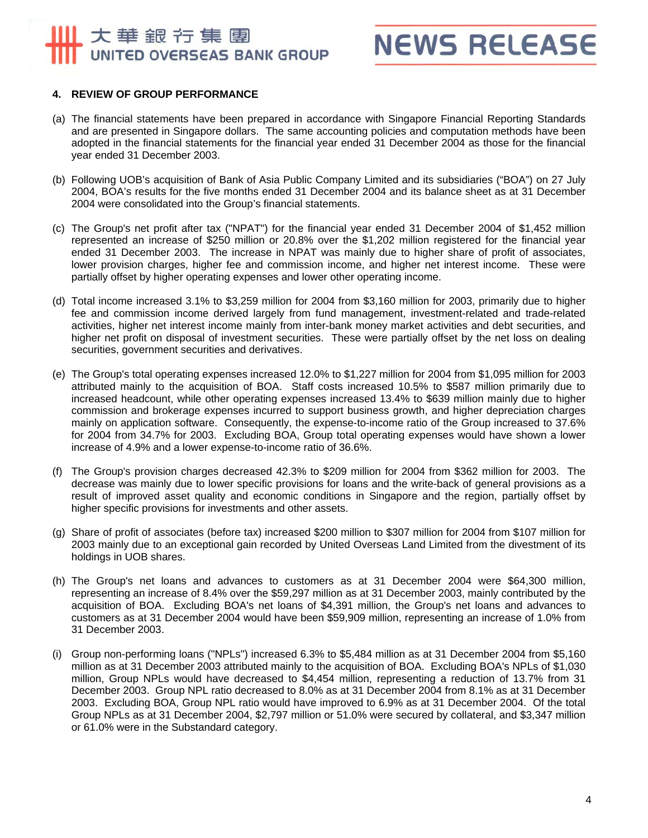### 大華銀行集團 UNITED OVERSEAS BANK GROUP

### **NEWS RELEASE**

#### **4. REVIEW OF GROUP PERFORMANCE**

- (a) The financial statements have been prepared in accordance with Singapore Financial Reporting Standards and are presented in Singapore dollars. The same accounting policies and computation methods have been adopted in the financial statements for the financial year ended 31 December 2004 as those for the financial year ended 31 December 2003.
- (b) Following UOB's acquisition of Bank of Asia Public Company Limited and its subsidiaries ("BOA") on 27 July 2004, BOA's results for the five months ended 31 December 2004 and its balance sheet as at 31 December 2004 were consolidated into the Group's financial statements.
- (c) The Group's net profit after tax ("NPAT") for the financial year ended 31 December 2004 of \$1,452 million represented an increase of \$250 million or 20.8% over the \$1,202 million registered for the financial year ended 31 December 2003. The increase in NPAT was mainly due to higher share of profit of associates, lower provision charges, higher fee and commission income, and higher net interest income. These were partially offset by higher operating expenses and lower other operating income.
- (d) Total income increased 3.1% to \$3,259 million for 2004 from \$3,160 million for 2003, primarily due to higher fee and commission income derived largely from fund management, investment-related and trade-related activities, higher net interest income mainly from inter-bank money market activities and debt securities, and higher net profit on disposal of investment securities. These were partially offset by the net loss on dealing securities, government securities and derivatives.
- (e) The Group's total operating expenses increased 12.0% to \$1,227 million for 2004 from \$1,095 million for 2003 attributed mainly to the acquisition of BOA. Staff costs increased 10.5% to \$587 million primarily due to increased headcount, while other operating expenses increased 13.4% to \$639 million mainly due to higher commission and brokerage expenses incurred to support business growth, and higher depreciation charges mainly on application software. Consequently, the expense-to-income ratio of the Group increased to 37.6% for 2004 from 34.7% for 2003. Excluding BOA, Group total operating expenses would have shown a lower increase of 4.9% and a lower expense-to-income ratio of 36.6%.
- (f) The Group's provision charges decreased 42.3% to \$209 million for 2004 from \$362 million for 2003. The decrease was mainly due to lower specific provisions for loans and the write-back of general provisions as a result of improved asset quality and economic conditions in Singapore and the region, partially offset by higher specific provisions for investments and other assets.
- (g) Share of profit of associates (before tax) increased \$200 million to \$307 million for 2004 from \$107 million for 2003 mainly due to an exceptional gain recorded by United Overseas Land Limited from the divestment of its holdings in UOB shares.
- (h) The Group's net loans and advances to customers as at 31 December 2004 were \$64,300 million, representing an increase of 8.4% over the \$59,297 million as at 31 December 2003, mainly contributed by the acquisition of BOA. Excluding BOA's net loans of \$4,391 million, the Group's net loans and advances to customers as at 31 December 2004 would have been \$59,909 million, representing an increase of 1.0% from 31 December 2003.
- (i) Group non-performing loans ("NPLs") increased 6.3% to \$5,484 million as at 31 December 2004 from \$5,160 million as at 31 December 2003 attributed mainly to the acquisition of BOA. Excluding BOA's NPLs of \$1,030 million, Group NPLs would have decreased to \$4,454 million, representing a reduction of 13.7% from 31 December 2003. Group NPL ratio decreased to 8.0% as at 31 December 2004 from 8.1% as at 31 December 2003. Excluding BOA, Group NPL ratio would have improved to 6.9% as at 31 December 2004. Of the total Group NPLs as at 31 December 2004, \$2,797 million or 51.0% were secured by collateral, and \$3,347 million or 61.0% were in the Substandard category.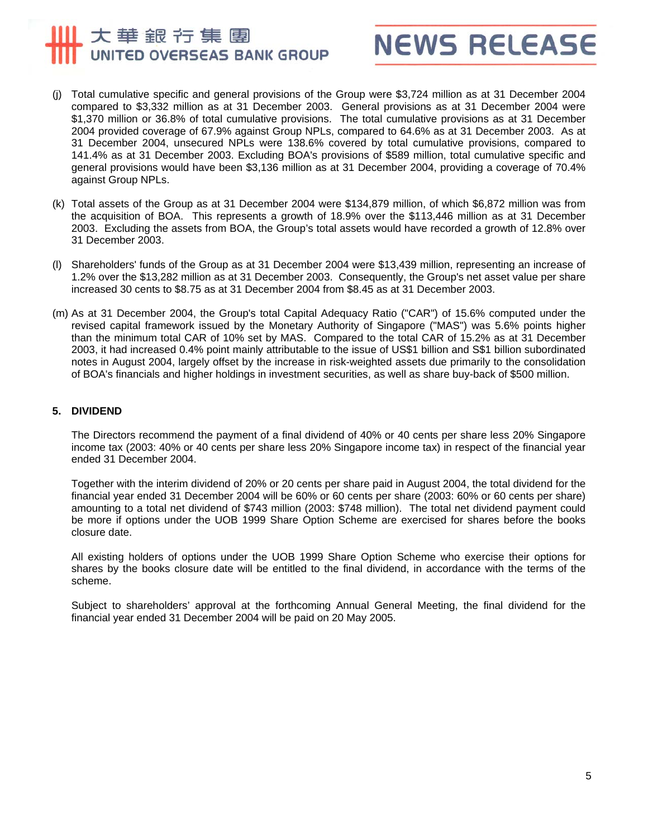### 大華銀行集團 UNITED OVERSEAS BANK GROUP



- (j) Total cumulative specific and general provisions of the Group were \$3,724 million as at 31 December 2004 compared to \$3,332 million as at 31 December 2003. General provisions as at 31 December 2004 were \$1,370 million or 36.8% of total cumulative provisions. The total cumulative provisions as at 31 December 2004 provided coverage of 67.9% against Group NPLs, compared to 64.6% as at 31 December 2003. As at 31 December 2004, unsecured NPLs were 138.6% covered by total cumulative provisions, compared to 141.4% as at 31 December 2003. Excluding BOA's provisions of \$589 million, total cumulative specific and general provisions would have been \$3,136 million as at 31 December 2004, providing a coverage of 70.4% against Group NPLs.
- (k) Total assets of the Group as at 31 December 2004 were \$134,879 million, of which \$6,872 million was from the acquisition of BOA. This represents a growth of 18.9% over the \$113,446 million as at 31 December 2003. Excluding the assets from BOA, the Group's total assets would have recorded a growth of 12.8% over 31 December 2003.
- (l) Shareholders' funds of the Group as at 31 December 2004 were \$13,439 million, representing an increase of 1.2% over the \$13,282 million as at 31 December 2003. Consequently, the Group's net asset value per share increased 30 cents to \$8.75 as at 31 December 2004 from \$8.45 as at 31 December 2003.
- (m) As at 31 December 2004, the Group's total Capital Adequacy Ratio ("CAR") of 15.6% computed under the revised capital framework issued by the Monetary Authority of Singapore ("MAS") was 5.6% points higher than the minimum total CAR of 10% set by MAS. Compared to the total CAR of 15.2% as at 31 December 2003, it had increased 0.4% point mainly attributable to the issue of US\$1 billion and S\$1 billion subordinated notes in August 2004, largely offset by the increase in risk-weighted assets due primarily to the consolidation of BOA's financials and higher holdings in investment securities, as well as share buy-back of \$500 million.

#### **5. DIVIDEND**

The Directors recommend the payment of a final dividend of 40% or 40 cents per share less 20% Singapore income tax (2003: 40% or 40 cents per share less 20% Singapore income tax) in respect of the financial year ended 31 December 2004.

Together with the interim dividend of 20% or 20 cents per share paid in August 2004, the total dividend for the financial year ended 31 December 2004 will be 60% or 60 cents per share (2003: 60% or 60 cents per share) amounting to a total net dividend of \$743 million (2003: \$748 million). The total net dividend payment could be more if options under the UOB 1999 Share Option Scheme are exercised for shares before the books closure date.

All existing holders of options under the UOB 1999 Share Option Scheme who exercise their options for shares by the books closure date will be entitled to the final dividend, in accordance with the terms of the scheme.

Subject to shareholders' approval at the forthcoming Annual General Meeting, the final dividend for the financial year ended 31 December 2004 will be paid on 20 May 2005.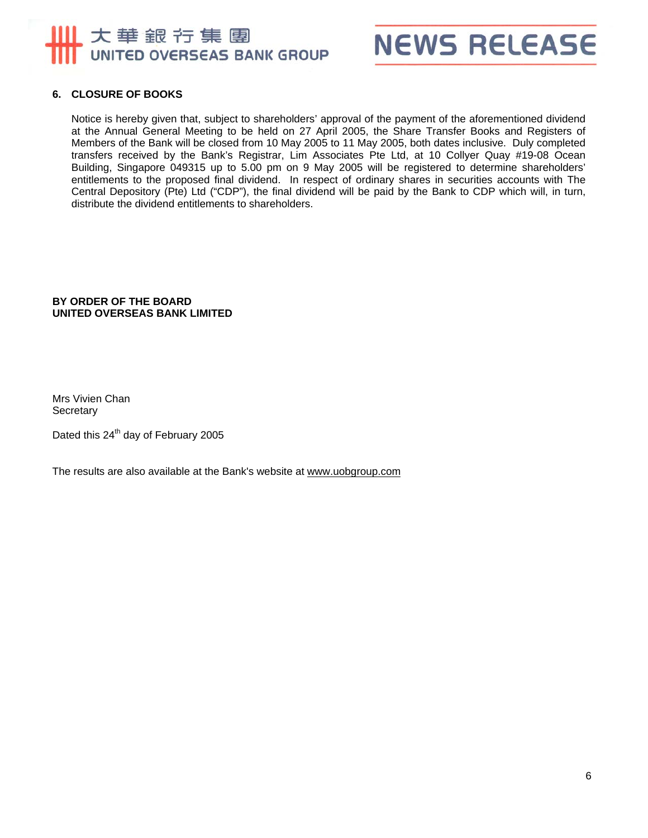



#### **6. CLOSURE OF BOOKS**

Notice is hereby given that, subject to shareholders' approval of the payment of the aforementioned dividend at the Annual General Meeting to be held on 27 April 2005, the Share Transfer Books and Registers of Members of the Bank will be closed from 10 May 2005 to 11 May 2005, both dates inclusive. Duly completed transfers received by the Bank's Registrar, Lim Associates Pte Ltd, at 10 Collyer Quay #19-08 Ocean Building, Singapore 049315 up to 5.00 pm on 9 May 2005 will be registered to determine shareholders' entitlements to the proposed final dividend. In respect of ordinary shares in securities accounts with The Central Depository (Pte) Ltd ("CDP"), the final dividend will be paid by the Bank to CDP which will, in turn, distribute the dividend entitlements to shareholders.

#### **BY ORDER OF THE BOARD UNITED OVERSEAS BANK LIMITED**

Mrs Vivien Chan **Secretary** 

Dated this 24<sup>th</sup> day of February 2005

The results are also available at the Bank's website at www.uobgroup.com